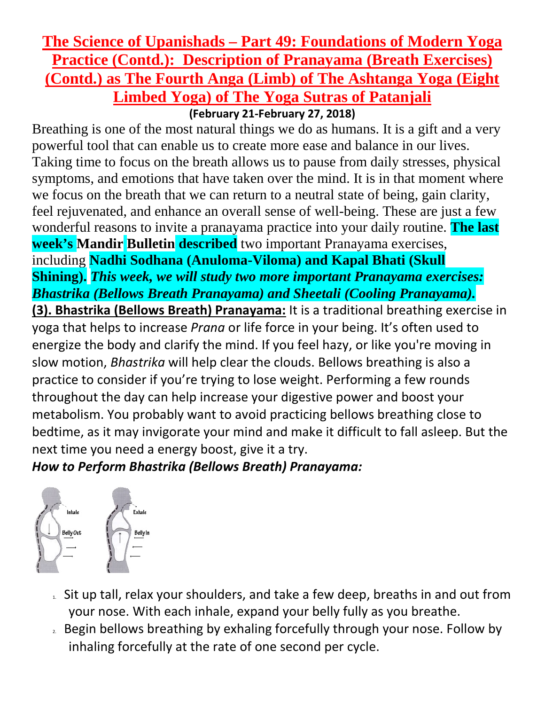## **The Science of Upanishads – Part 49: Foundations of Modern Yoga Practice (Contd.): Description of Pranayama (Breath Exercises) (Contd.) as The Fourth Anga (Limb) of The Ashtanga Yoga (Eight Limbed Yoga) of The Yoga Sutras of Patanjali**

**(February 21-February 27, 2018)**

Breathing is one of the most natural things we do as humans. It is a gift and a very powerful tool that can enable us to create more ease and balance in our lives. Taking time to focus on the breath allows us to pause from daily stresses, physical symptoms, and emotions that have taken over the mind. It is in that moment where we focus on the breath that we can return to a neutral state of being, gain clarity, feel rejuvenated, and enhance an overall sense of well-being. These are just a few wonderful reasons to invite a pranayama practice into your daily routine. **The last week's Mandir Bulletin described** two important Pranayama exercises, including **Nadhi Sodhana (Anuloma-Viloma) and Kapal Bhati (Skull** 

**Shining).** *This week, we will study two more important Pranayama exercises: Bhastrika (Bellows Breath Pranayama) and Sheetali (Cooling Pranayama).*

**(3). Bhastrika (Bellows Breath) Pranayama:** It is a traditional breathing exercise in yoga that helps to increase *Prana* or life force in your being. It's often used to energize the body and clarify the mind. If you feel hazy, or like you're moving in slow motion, *Bhastrika* will help clear the clouds. Bellows breathing is also a practice to consider if you're trying to lose weight. Performing a few rounds throughout the day can help increase your digestive power and boost your metabolism. You probably want to avoid practicing bellows breathing close to bedtime, as it may invigorate your mind and make it difficult to fall asleep. But the next time you need a energy boost, give it a try.

*How to Perform Bhastrika (Bellows Breath) Pranayama:*



- 1. Sit up tall, relax your shoulders, and take a few deep, breaths in and out from your nose. With each inhale, expand your belly fully as you breathe.
- 2. Begin bellows breathing by exhaling forcefully through your nose. Follow by inhaling forcefully at the rate of one second per cycle.